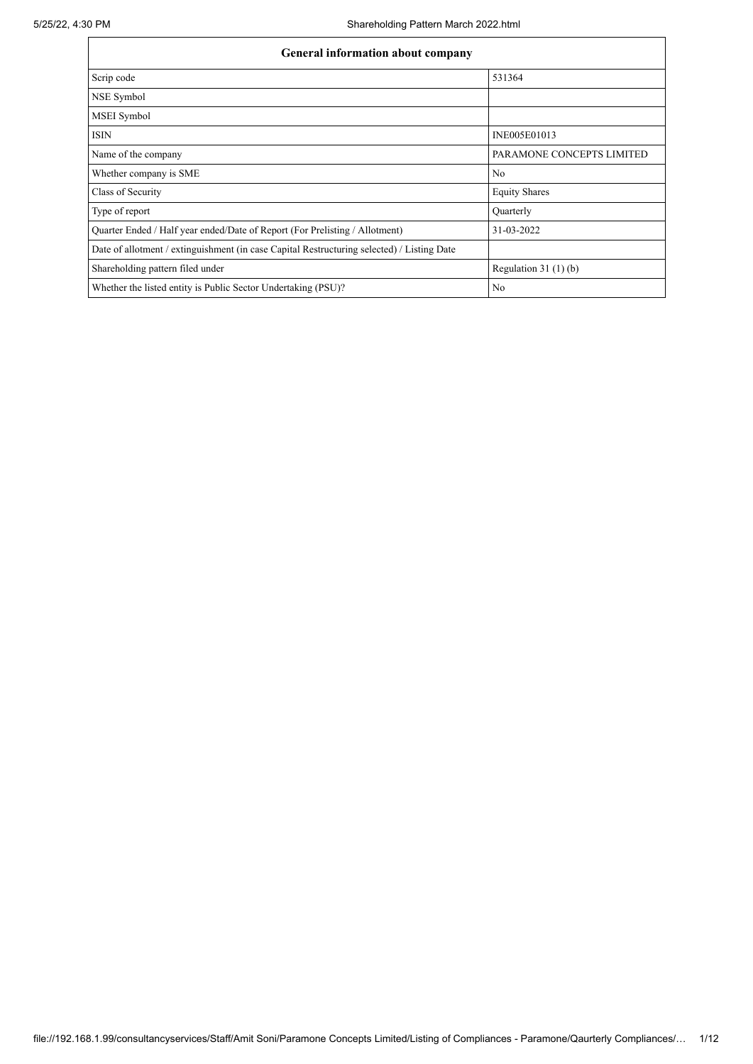| <b>General information about company</b>                                                   |                           |  |  |  |  |  |  |
|--------------------------------------------------------------------------------------------|---------------------------|--|--|--|--|--|--|
| Scrip code                                                                                 | 531364                    |  |  |  |  |  |  |
| NSE Symbol                                                                                 |                           |  |  |  |  |  |  |
| MSEI Symbol                                                                                |                           |  |  |  |  |  |  |
| <b>ISIN</b>                                                                                | INE005E01013              |  |  |  |  |  |  |
| Name of the company                                                                        | PARAMONE CONCEPTS LIMITED |  |  |  |  |  |  |
| Whether company is SME                                                                     | No                        |  |  |  |  |  |  |
| Class of Security                                                                          | <b>Equity Shares</b>      |  |  |  |  |  |  |
| Type of report                                                                             | Quarterly                 |  |  |  |  |  |  |
| Quarter Ended / Half year ended/Date of Report (For Prelisting / Allotment)                | 31-03-2022                |  |  |  |  |  |  |
| Date of allotment / extinguishment (in case Capital Restructuring selected) / Listing Date |                           |  |  |  |  |  |  |
| Shareholding pattern filed under                                                           | Regulation $31(1)(b)$     |  |  |  |  |  |  |
| Whether the listed entity is Public Sector Undertaking (PSU)?                              | No                        |  |  |  |  |  |  |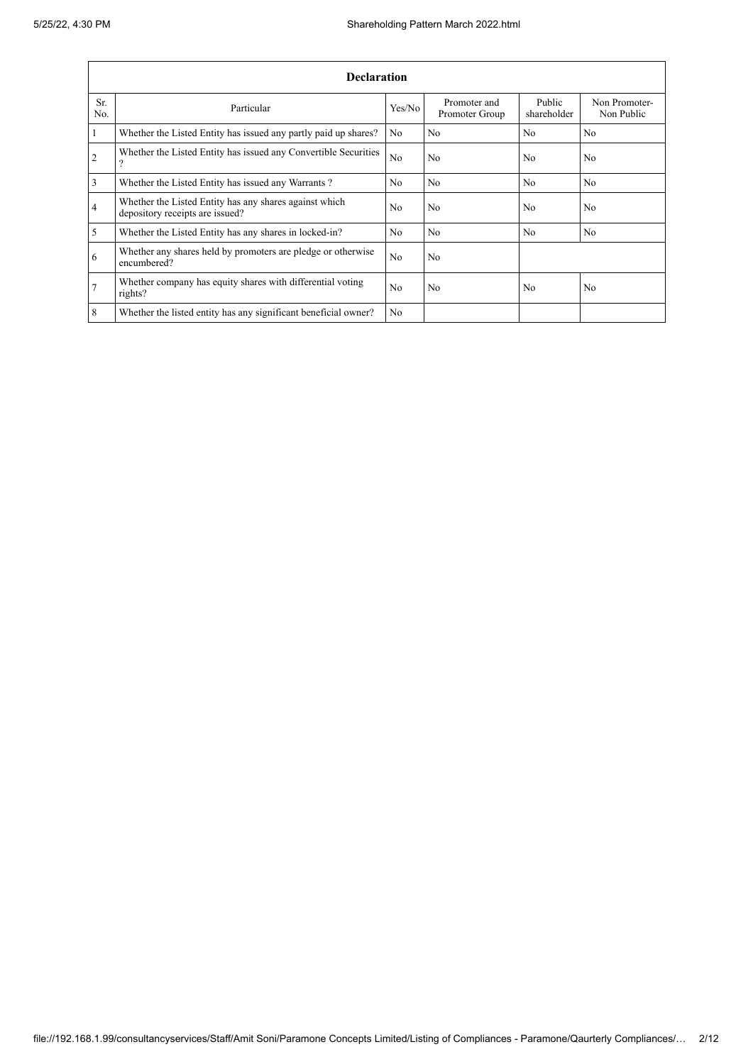|                | <b>Declaration</b>                                                                        |                |                                |                       |                             |  |  |  |  |  |  |
|----------------|-------------------------------------------------------------------------------------------|----------------|--------------------------------|-----------------------|-----------------------------|--|--|--|--|--|--|
| Sr.<br>No.     | Particular                                                                                | Yes/No         | Promoter and<br>Promoter Group | Public<br>shareholder | Non Promoter-<br>Non Public |  |  |  |  |  |  |
| $\mathbf{1}$   | Whether the Listed Entity has issued any partly paid up shares?                           | N <sub>0</sub> | N <sub>0</sub>                 | No                    | N <sub>0</sub>              |  |  |  |  |  |  |
| $\overline{2}$ | Whether the Listed Entity has issued any Convertible Securities<br>9                      | N <sub>o</sub> | No                             | N <sub>0</sub>        | N <sub>o</sub>              |  |  |  |  |  |  |
| 3              | Whether the Listed Entity has issued any Warrants?                                        | N <sub>0</sub> | N <sub>o</sub>                 | No                    | N <sub>0</sub>              |  |  |  |  |  |  |
| $\overline{4}$ | Whether the Listed Entity has any shares against which<br>depository receipts are issued? | N <sub>0</sub> | No                             | N <sub>0</sub>        | N <sub>0</sub>              |  |  |  |  |  |  |
| 5              | Whether the Listed Entity has any shares in locked-in?                                    | N <sub>0</sub> | N <sub>0</sub>                 | No                    | N <sub>0</sub>              |  |  |  |  |  |  |
| 6              | Whether any shares held by promoters are pledge or otherwise<br>encumbered?               | N <sub>0</sub> | No                             |                       |                             |  |  |  |  |  |  |
| $\overline{7}$ | Whether company has equity shares with differential voting<br>rights?                     | N <sub>0</sub> | N <sub>0</sub>                 | N <sub>0</sub>        | N <sub>0</sub>              |  |  |  |  |  |  |
| 8              | Whether the listed entity has any significant beneficial owner?                           | N <sub>0</sub> |                                |                       |                             |  |  |  |  |  |  |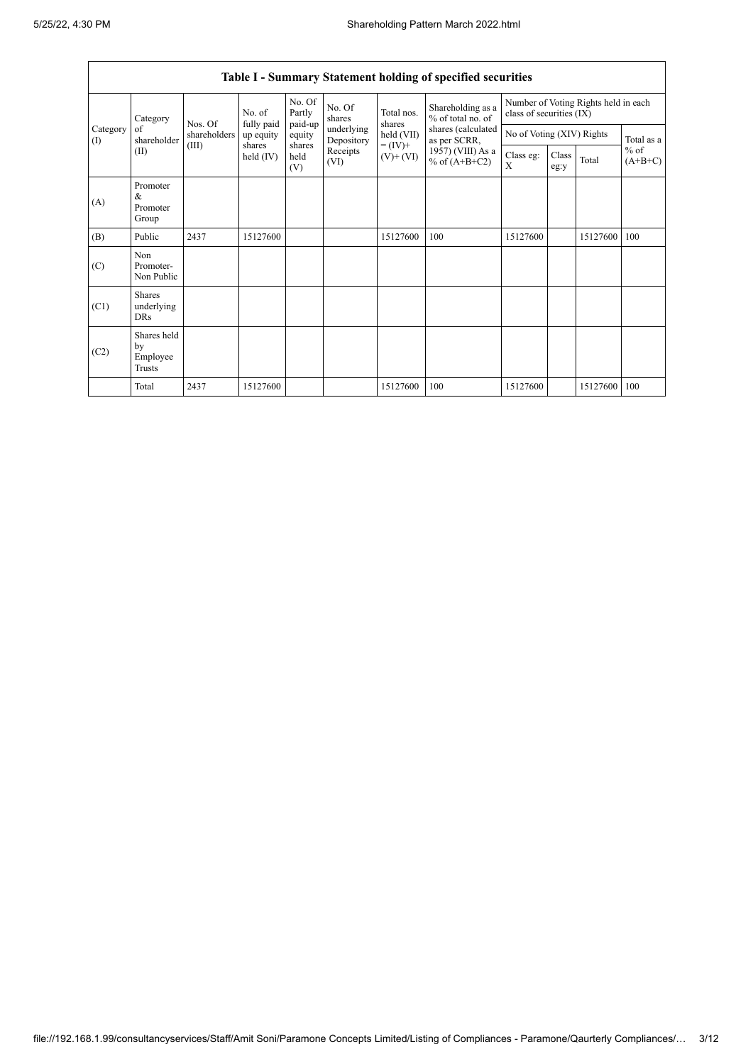$\overline{1}$ 

|                 | Table I - Summary Statement holding of specified securities |              |                      |                             |                          |                                                                    |                                                                                                                      |                                                                  |               |          |                     |
|-----------------|-------------------------------------------------------------|--------------|----------------------|-----------------------------|--------------------------|--------------------------------------------------------------------|----------------------------------------------------------------------------------------------------------------------|------------------------------------------------------------------|---------------|----------|---------------------|
|                 | Category                                                    | Nos. Of      | No. of<br>fully paid | No. Of<br>Partly<br>paid-up | No. Of<br>shares         | Total nos.<br>shares<br>held (VII)<br>$= (IV) +$<br>$(V)$ + $(VI)$ | Shareholding as a<br>% of total no. of<br>shares (calculated<br>as per SCRR,<br>1957) (VIII) As a<br>% of $(A+B+C2)$ | Number of Voting Rights held in each<br>class of securities (IX) |               |          |                     |
| Category<br>(1) | of<br>shareholder                                           | shareholders | up equity            | equity                      | underlying<br>Depository |                                                                    |                                                                                                                      | No of Voting (XIV) Rights                                        |               |          | Total as a          |
|                 | (II)                                                        | (III)        | shares<br>held (IV)  | shares<br>held<br>(V)       | Receipts<br>(VI)         |                                                                    |                                                                                                                      | Class eg:<br>X                                                   | Class<br>eg:y | Total    | $%$ of<br>$(A+B+C)$ |
| (A)             | Promoter<br>$\&$<br>Promoter<br>Group                       |              |                      |                             |                          |                                                                    |                                                                                                                      |                                                                  |               |          |                     |
| (B)             | Public                                                      | 2437         | 15127600             |                             |                          | 15127600                                                           | 100                                                                                                                  | 15127600                                                         |               | 15127600 | 100                 |
| (C)             | Non<br>Promoter-<br>Non Public                              |              |                      |                             |                          |                                                                    |                                                                                                                      |                                                                  |               |          |                     |
| (C1)            | Shares<br>underlying<br><b>DRs</b>                          |              |                      |                             |                          |                                                                    |                                                                                                                      |                                                                  |               |          |                     |
| (C2)            | Shares held<br>by<br>Employee<br>Trusts                     |              |                      |                             |                          |                                                                    |                                                                                                                      |                                                                  |               |          |                     |
|                 | Total                                                       | 2437         | 15127600             |                             |                          | 15127600                                                           | 100                                                                                                                  | 15127600                                                         |               | 15127600 | 100                 |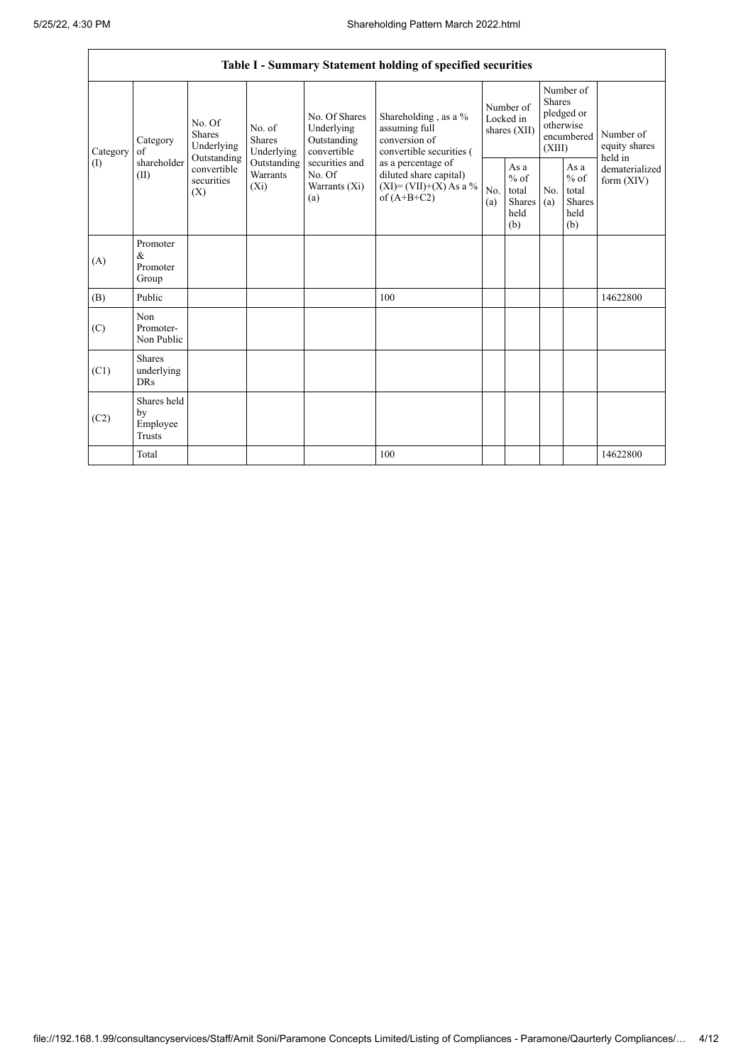|                          | Table I - Summary Statement holding of specified securities |                                                                                                                                                                  |                                                  |                                                                                            |                                                                                    |                                                         |                       |                                                                               |                                |                                       |  |
|--------------------------|-------------------------------------------------------------|------------------------------------------------------------------------------------------------------------------------------------------------------------------|--------------------------------------------------|--------------------------------------------------------------------------------------------|------------------------------------------------------------------------------------|---------------------------------------------------------|-----------------------|-------------------------------------------------------------------------------|--------------------------------|---------------------------------------|--|
| Category<br>$($ $\Gamma$ | Category<br>of<br>shareholder<br>(II)                       | No. Of<br>No. of<br><b>Shares</b><br>Shares<br>Underlying<br>Underlying<br>Outstanding<br>Outstanding<br>convertible<br>Warrants<br>securities<br>$(X_i)$<br>(X) |                                                  | No. Of Shares<br>Underlying<br>Outstanding<br>convertible                                  | Shareholding, as a %<br>assuming full<br>conversion of<br>convertible securities ( | Number of<br>Locked in<br>shares (XII)                  |                       | Number of<br><b>Shares</b><br>pledged or<br>otherwise<br>encumbered<br>(XIII) |                                | Number of<br>equity shares<br>held in |  |
|                          |                                                             |                                                                                                                                                                  | securities and<br>No. Of<br>Warrants (Xi)<br>(a) | as a percentage of<br>diluted share capital)<br>$(XI) = (VII)+(X) As a %$<br>of $(A+B+C2)$ | No.<br>(a)                                                                         | As a<br>$%$ of<br>total<br><b>Shares</b><br>held<br>(b) | N <sub>0</sub><br>(a) | As a<br>$%$ of<br>total<br><b>Shares</b><br>held<br>(b)                       | dematerialized<br>form $(XIV)$ |                                       |  |
| (A)                      | Promoter<br>$\&$<br>Promoter<br>Group                       |                                                                                                                                                                  |                                                  |                                                                                            |                                                                                    |                                                         |                       |                                                                               |                                |                                       |  |
| (B)                      | Public                                                      |                                                                                                                                                                  |                                                  |                                                                                            | 100                                                                                |                                                         |                       |                                                                               |                                | 14622800                              |  |
| (C)                      | Non<br>Promoter-<br>Non Public                              |                                                                                                                                                                  |                                                  |                                                                                            |                                                                                    |                                                         |                       |                                                                               |                                |                                       |  |
| (C1)                     | <b>Shares</b><br>underlying<br><b>DRs</b>                   |                                                                                                                                                                  |                                                  |                                                                                            |                                                                                    |                                                         |                       |                                                                               |                                |                                       |  |
| (C2)                     | Shares held<br>by<br>Employee<br><b>Trusts</b>              |                                                                                                                                                                  |                                                  |                                                                                            |                                                                                    |                                                         |                       |                                                                               |                                |                                       |  |
|                          | Total                                                       |                                                                                                                                                                  |                                                  |                                                                                            | 100                                                                                |                                                         |                       |                                                                               |                                | 14622800                              |  |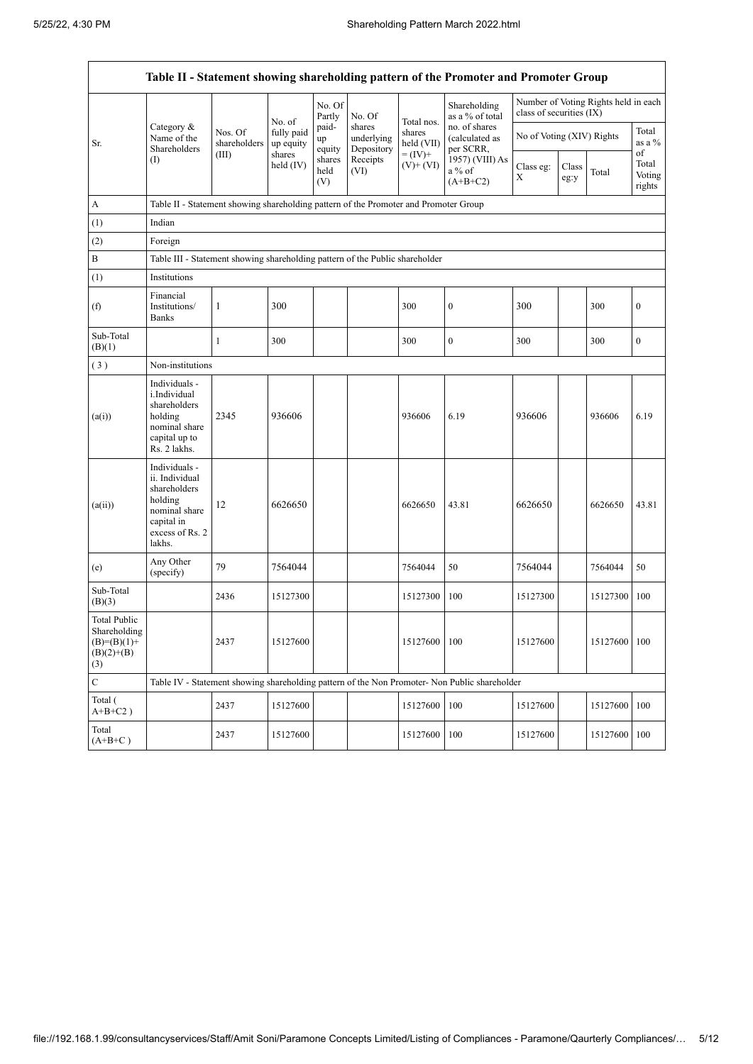|                                                                             |                                                                                                                        |                                                                                      |                         |                       |                                    |                             | Table II - Statement showing shareholding pattern of the Promoter and Promoter Group                                       |                           |               |                                      |                                 |
|-----------------------------------------------------------------------------|------------------------------------------------------------------------------------------------------------------------|--------------------------------------------------------------------------------------|-------------------------|-----------------------|------------------------------------|-----------------------------|----------------------------------------------------------------------------------------------------------------------------|---------------------------|---------------|--------------------------------------|---------------------------------|
|                                                                             |                                                                                                                        |                                                                                      | No. of                  | No. Of<br>Partly      | No. Of                             | Total nos.                  | Shareholding<br>as a % of total<br>no. of shares<br>(calculated as<br>per SCRR,<br>1957) (VIII) As<br>a % of<br>$(A+B+C2)$ | class of securities (IX)  |               | Number of Voting Rights held in each |                                 |
| Sr.                                                                         | Category $\&$<br>Name of the<br>Shareholders                                                                           | Nos. Of<br>shareholders                                                              | fully paid<br>up equity | paid-<br>up<br>equity | shares<br>underlying<br>Depository | shares<br>held (VII)        |                                                                                                                            | No of Voting (XIV) Rights |               |                                      | Total<br>as a %                 |
|                                                                             | (I)                                                                                                                    | (III)                                                                                | shares<br>held $(IV)$   | shares<br>held<br>(V) | Receipts<br>(VI)                   | $=$ (IV)+<br>$(V)$ + $(VI)$ |                                                                                                                            | Class eg:<br>$\mathbf X$  | Class<br>eg:y | Total                                | of<br>Total<br>Voting<br>rights |
| А                                                                           |                                                                                                                        | Table II - Statement showing shareholding pattern of the Promoter and Promoter Group |                         |                       |                                    |                             |                                                                                                                            |                           |               |                                      |                                 |
| (1)                                                                         | Indian                                                                                                                 |                                                                                      |                         |                       |                                    |                             |                                                                                                                            |                           |               |                                      |                                 |
| (2)                                                                         | Foreign                                                                                                                |                                                                                      |                         |                       |                                    |                             |                                                                                                                            |                           |               |                                      |                                 |
| B                                                                           | Table III - Statement showing shareholding pattern of the Public shareholder                                           |                                                                                      |                         |                       |                                    |                             |                                                                                                                            |                           |               |                                      |                                 |
| (1)                                                                         | Institutions                                                                                                           |                                                                                      |                         |                       |                                    |                             |                                                                                                                            |                           |               |                                      |                                 |
| (f)                                                                         | Financial<br>Institutions/<br><b>Banks</b>                                                                             | 1                                                                                    | 300                     |                       |                                    | 300                         | $\boldsymbol{0}$                                                                                                           | 300                       |               | 300                                  | $\mathbf{0}$                    |
| Sub-Total<br>(B)(1)                                                         |                                                                                                                        | $\mathbf{1}$                                                                         | 300                     |                       |                                    | 300                         | $\mathbf{0}$                                                                                                               | 300                       |               | 300                                  | $\boldsymbol{0}$                |
| (3)                                                                         |                                                                                                                        | Non-institutions                                                                     |                         |                       |                                    |                             |                                                                                                                            |                           |               |                                      |                                 |
| (a(i))                                                                      | Individuals -<br>i.Individual<br>shareholders<br>holding<br>nominal share<br>capital up to<br>Rs. 2 lakhs.             | 2345                                                                                 | 936606                  |                       |                                    | 936606                      | 6.19                                                                                                                       | 936606                    |               | 936606                               | 6.19                            |
| (a(ii))                                                                     | Individuals -<br>ii. Individual<br>shareholders<br>holding<br>nominal share<br>capital in<br>excess of Rs. 2<br>lakhs. | 12                                                                                   | 6626650                 |                       |                                    | 6626650                     | 43.81                                                                                                                      | 6626650                   |               | 6626650                              | 43.81                           |
| (e)                                                                         | Any Other<br>(specify)                                                                                                 | 79                                                                                   | 7564044                 |                       |                                    | 7564044                     | 50                                                                                                                         | 7564044                   |               | 7564044                              | 50                              |
| Sub-Total<br>(B)(3)                                                         |                                                                                                                        | 2436                                                                                 | 15127300                |                       |                                    | 15127300                    | 100                                                                                                                        | 15127300                  |               | 15127300                             | 100                             |
| <b>Total Public</b><br>Shareholding<br>$(B)=(B)(1)+$<br>$(B)(2)+(B)$<br>(3) |                                                                                                                        | 2437                                                                                 | 15127600                |                       |                                    | 15127600                    | 100                                                                                                                        | 15127600                  |               | 15127600                             | 100                             |
| $\mathbf C$                                                                 |                                                                                                                        |                                                                                      |                         |                       |                                    |                             | Table IV - Statement showing shareholding pattern of the Non Promoter- Non Public shareholder                              |                           |               |                                      |                                 |
| Total (<br>$A+B+C2$ )                                                       |                                                                                                                        | 2437                                                                                 | 15127600                |                       |                                    | 15127600                    | 100                                                                                                                        | 15127600                  |               | 15127600                             | 100                             |
| Total<br>$(A+B+C)$                                                          |                                                                                                                        | 2437                                                                                 | 15127600                |                       |                                    | 15127600                    | 100                                                                                                                        | 15127600                  |               | 15127600                             | 100                             |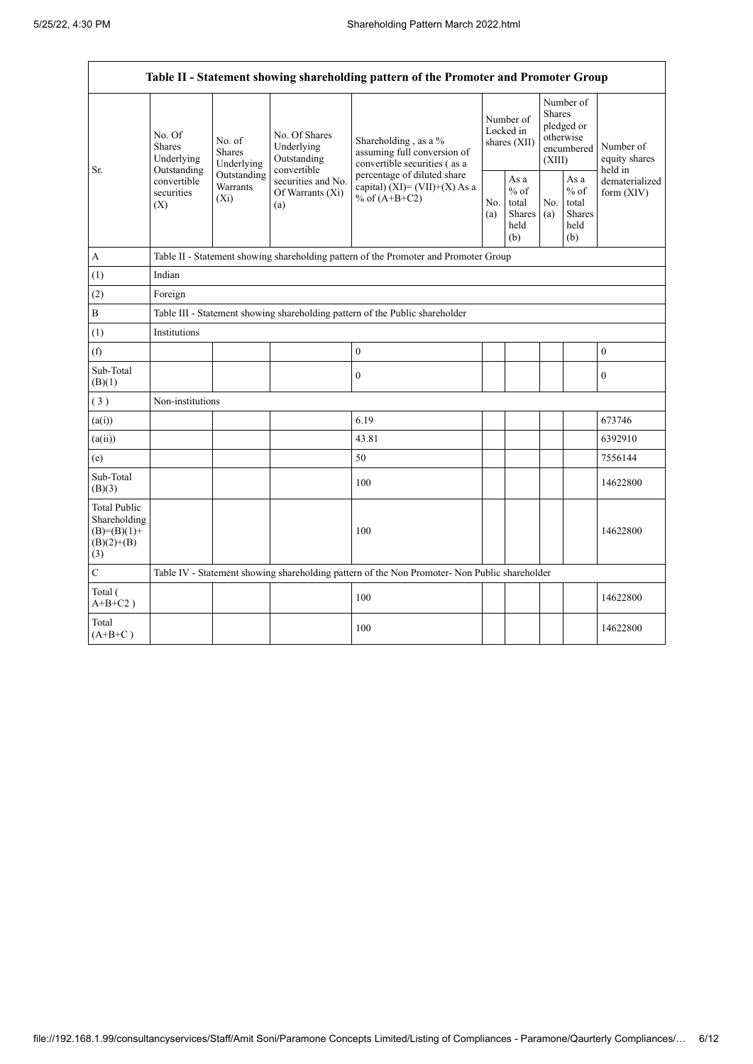$\mathbf{r}$ 

 $\overline{\mathbf{1}}$ 

| Table II - Statement showing shareholding pattern of the Promoter and Promoter Group |                                                                                          |                                                                              |                                                                                                               |                                                                                                                                                                          |                                        |                                                         |                                                                               |                                                         |                                       |  |
|--------------------------------------------------------------------------------------|------------------------------------------------------------------------------------------|------------------------------------------------------------------------------|---------------------------------------------------------------------------------------------------------------|--------------------------------------------------------------------------------------------------------------------------------------------------------------------------|----------------------------------------|---------------------------------------------------------|-------------------------------------------------------------------------------|---------------------------------------------------------|---------------------------------------|--|
|                                                                                      | No. Of<br><b>Shares</b><br>Underlying<br>Outstanding<br>convertible<br>securities<br>(X) | No. of<br><b>Shares</b><br>Underlying<br>Outstanding<br>Warrants<br>$(X_i)$  | No. Of Shares<br>Underlying<br>Outstanding<br>convertible<br>securities and No.<br>Of Warrants $(X_i)$<br>(a) | Shareholding, as a %<br>assuming full conversion of<br>convertible securities (as a<br>percentage of diluted share<br>capital) (XI)= $(VII)+(X)$ As a<br>% of $(A+B+C2)$ | Number of<br>Locked in<br>shares (XII) |                                                         | Number of<br><b>Shares</b><br>pledged or<br>otherwise<br>encumbered<br>(XIII) |                                                         | Number of<br>equity shares<br>held in |  |
| Sr.                                                                                  |                                                                                          |                                                                              |                                                                                                               |                                                                                                                                                                          | No.<br>(a)                             | As a<br>$%$ of<br>total<br><b>Shares</b><br>held<br>(b) | No.<br>(a)                                                                    | As a<br>$%$ of<br>total<br><b>Shares</b><br>held<br>(b) | dematerialized<br>form $(XIV)$        |  |
| А                                                                                    |                                                                                          |                                                                              |                                                                                                               | Table II - Statement showing shareholding pattern of the Promoter and Promoter Group                                                                                     |                                        |                                                         |                                                                               |                                                         |                                       |  |
| (1)                                                                                  | Indian                                                                                   |                                                                              |                                                                                                               |                                                                                                                                                                          |                                        |                                                         |                                                                               |                                                         |                                       |  |
| (2)                                                                                  | Foreign                                                                                  |                                                                              |                                                                                                               |                                                                                                                                                                          |                                        |                                                         |                                                                               |                                                         |                                       |  |
| B                                                                                    |                                                                                          | Table III - Statement showing shareholding pattern of the Public shareholder |                                                                                                               |                                                                                                                                                                          |                                        |                                                         |                                                                               |                                                         |                                       |  |
| (1)                                                                                  | Institutions                                                                             |                                                                              |                                                                                                               |                                                                                                                                                                          |                                        |                                                         |                                                                               |                                                         |                                       |  |
| (f)                                                                                  |                                                                                          |                                                                              |                                                                                                               | $\boldsymbol{0}$                                                                                                                                                         |                                        |                                                         |                                                                               |                                                         | $\boldsymbol{0}$                      |  |
| Sub-Total<br>(B)(1)                                                                  |                                                                                          |                                                                              |                                                                                                               | $\mathbf{0}$                                                                                                                                                             |                                        |                                                         |                                                                               |                                                         | $\mathbf{0}$                          |  |
| (3)                                                                                  | Non-institutions                                                                         |                                                                              |                                                                                                               |                                                                                                                                                                          |                                        |                                                         |                                                                               |                                                         |                                       |  |
| (a(i))                                                                               |                                                                                          |                                                                              |                                                                                                               | 6.19                                                                                                                                                                     |                                        |                                                         |                                                                               |                                                         | 673746                                |  |
| (a(ii))                                                                              |                                                                                          |                                                                              |                                                                                                               | 43.81                                                                                                                                                                    |                                        |                                                         |                                                                               |                                                         | 6392910                               |  |
| (e)                                                                                  |                                                                                          |                                                                              |                                                                                                               | 50                                                                                                                                                                       |                                        |                                                         |                                                                               |                                                         | 7556144                               |  |
| Sub-Total<br>(B)(3)                                                                  |                                                                                          |                                                                              |                                                                                                               | 100                                                                                                                                                                      |                                        |                                                         |                                                                               |                                                         | 14622800                              |  |
| <b>Total Public</b><br>Shareholding<br>$(B)=(B)(1)+$<br>$(B)(2)+(B)$<br>(3)          |                                                                                          |                                                                              |                                                                                                               | 100                                                                                                                                                                      |                                        |                                                         |                                                                               |                                                         | 14622800                              |  |
| C                                                                                    |                                                                                          |                                                                              |                                                                                                               | Table IV - Statement showing shareholding pattern of the Non Promoter- Non Public shareholder                                                                            |                                        |                                                         |                                                                               |                                                         |                                       |  |
| Total (<br>$A+B+C2$ )                                                                |                                                                                          |                                                                              |                                                                                                               | 100                                                                                                                                                                      |                                        |                                                         |                                                                               |                                                         | 14622800                              |  |
| Total<br>$(A+B+C)$                                                                   |                                                                                          |                                                                              |                                                                                                               | 100                                                                                                                                                                      |                                        |                                                         |                                                                               |                                                         | 14622800                              |  |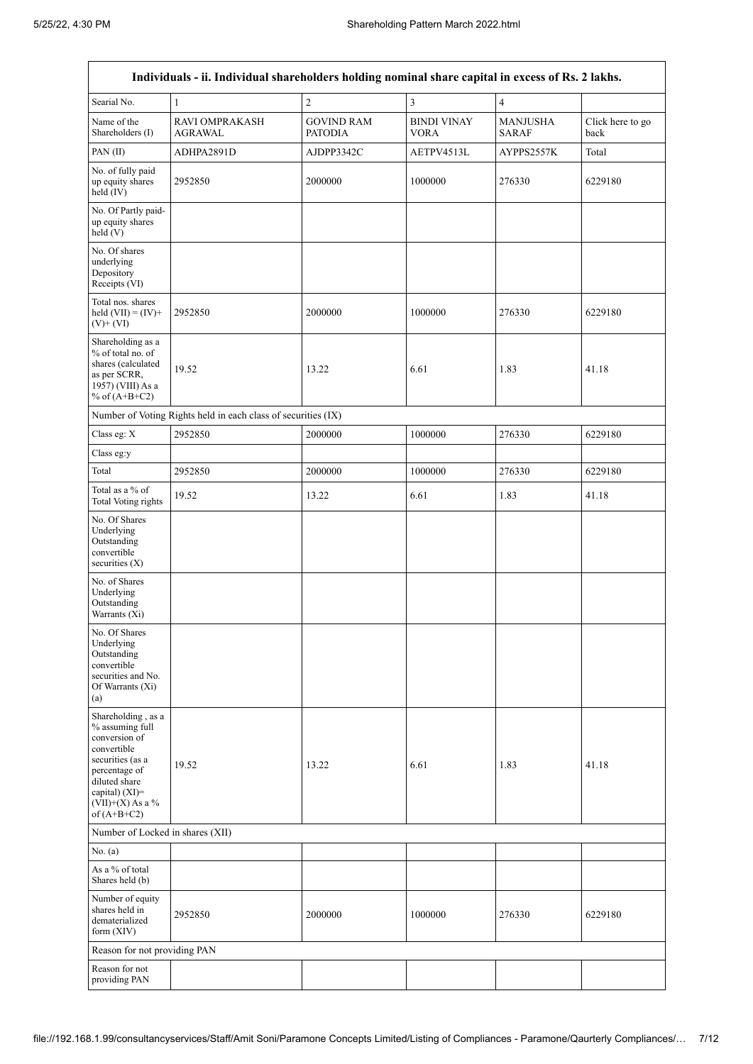$\overline{1}$ 

 $\overline{\phantom{a}}$ 

|                                                                                                                                                                                      | Individuals - ii. Individual shareholders holding nominal share capital in excess of Rs. 2 lakhs. |                                     |                            |                                 |                          |  |  |  |  |
|--------------------------------------------------------------------------------------------------------------------------------------------------------------------------------------|---------------------------------------------------------------------------------------------------|-------------------------------------|----------------------------|---------------------------------|--------------------------|--|--|--|--|
| Searial No.                                                                                                                                                                          | $\mathbf{1}$                                                                                      | $\sqrt{2}$                          | 3                          | $\overline{4}$                  |                          |  |  |  |  |
| Name of the<br>Shareholders (I)                                                                                                                                                      | <b>RAVI OMPRAKASH</b><br>AGRAWAL                                                                  | <b>GOVIND RAM</b><br><b>PATODIA</b> | <b>BINDI VINAY</b><br>VORA | <b>MANJUSHA</b><br><b>SARAF</b> | Click here to go<br>back |  |  |  |  |
| PAN(II)                                                                                                                                                                              | ADHPA2891D                                                                                        | AJDPP3342C                          | AETPV4513L                 | AYPPS2557K                      | Total                    |  |  |  |  |
| No. of fully paid<br>up equity shares<br>held $(IV)$                                                                                                                                 | 2952850                                                                                           | 2000000                             | 1000000                    | 276330                          | 6229180                  |  |  |  |  |
| No. Of Partly paid-<br>up equity shares<br>held (V)                                                                                                                                  |                                                                                                   |                                     |                            |                                 |                          |  |  |  |  |
| No. Of shares<br>underlying<br>Depository<br>Receipts (VI)                                                                                                                           |                                                                                                   |                                     |                            |                                 |                          |  |  |  |  |
| Total nos. shares<br>held $(VII) = (IV) +$<br>$(V)$ + $(VI)$                                                                                                                         | 2952850                                                                                           | 2000000                             | 1000000                    | 276330                          | 6229180                  |  |  |  |  |
| Shareholding as a<br>% of total no. of<br>shares (calculated<br>as per SCRR,<br>1957) (VIII) As a<br>% of $(A+B+C2)$                                                                 | 19.52                                                                                             | 13.22                               | 6.61                       | 1.83                            | 41.18                    |  |  |  |  |
| Number of Voting Rights held in each class of securities (IX)                                                                                                                        |                                                                                                   |                                     |                            |                                 |                          |  |  |  |  |
| Class eg: X                                                                                                                                                                          | 2952850                                                                                           | 2000000                             | 1000000                    | 276330                          | 6229180                  |  |  |  |  |
| Class eg:y                                                                                                                                                                           |                                                                                                   |                                     |                            |                                 |                          |  |  |  |  |
| Total                                                                                                                                                                                | 2952850                                                                                           | 2000000                             | 1000000                    | 276330                          | 6229180                  |  |  |  |  |
| Total as a % of<br><b>Total Voting rights</b>                                                                                                                                        | 19.52                                                                                             | 13.22                               | 6.61                       | 1.83                            | 41.18                    |  |  |  |  |
| No. Of Shares<br>Underlying<br>Outstanding<br>convertible<br>securities $(X)$                                                                                                        |                                                                                                   |                                     |                            |                                 |                          |  |  |  |  |
| No. of Shares<br>Underlying<br>Outstanding<br>Warrants (Xi)                                                                                                                          |                                                                                                   |                                     |                            |                                 |                          |  |  |  |  |
| No. Of Shares<br>Underlying<br>Outstanding<br>convertible<br>securities and No.<br>Of Warrants (Xi)<br>(a)                                                                           |                                                                                                   |                                     |                            |                                 |                          |  |  |  |  |
| Shareholding, as a<br>% assuming full<br>conversion of<br>convertible<br>securities (as a<br>percentage of<br>diluted share<br>capital) (XI)=<br>$(VII)+(X)$ As a %<br>of $(A+B+C2)$ | 19.52                                                                                             | 13.22                               | 6.61                       | 1.83                            | 41.18                    |  |  |  |  |
| Number of Locked in shares (XII)                                                                                                                                                     |                                                                                                   |                                     |                            |                                 |                          |  |  |  |  |
| No. (a)                                                                                                                                                                              |                                                                                                   |                                     |                            |                                 |                          |  |  |  |  |
| As a % of total<br>Shares held (b)                                                                                                                                                   |                                                                                                   |                                     |                            |                                 |                          |  |  |  |  |
| Number of equity<br>shares held in<br>dematerialized<br>form $(XIV)$                                                                                                                 | 2952850                                                                                           | 2000000                             | 1000000                    | 276330                          | 6229180                  |  |  |  |  |
| Reason for not providing PAN                                                                                                                                                         |                                                                                                   |                                     |                            |                                 |                          |  |  |  |  |
| Reason for not<br>providing PAN                                                                                                                                                      |                                                                                                   |                                     |                            |                                 |                          |  |  |  |  |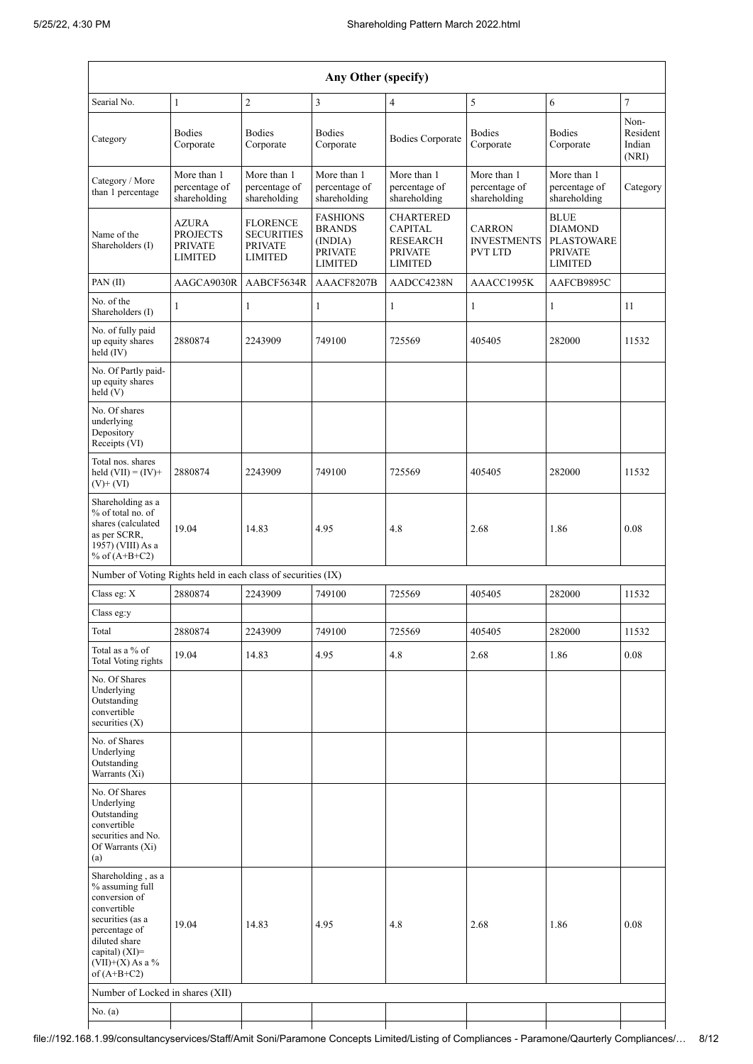| Any Other (specify)                                                                                                                                                                      |                                                                     |                                                                          |                                                                                 |                                                                                           |                                                       |                                                                                        |                                     |  |  |  |
|------------------------------------------------------------------------------------------------------------------------------------------------------------------------------------------|---------------------------------------------------------------------|--------------------------------------------------------------------------|---------------------------------------------------------------------------------|-------------------------------------------------------------------------------------------|-------------------------------------------------------|----------------------------------------------------------------------------------------|-------------------------------------|--|--|--|
| Searial No.                                                                                                                                                                              | 1                                                                   | $\overline{2}$                                                           | $\overline{3}$                                                                  | 4                                                                                         | 5                                                     | 6                                                                                      | $\overline{7}$                      |  |  |  |
| Category                                                                                                                                                                                 | <b>Bodies</b><br>Corporate                                          | <b>Bodies</b><br>Corporate                                               | <b>Bodies</b><br>Corporate                                                      | <b>Bodies Corporate</b>                                                                   | <b>Bodies</b><br>Corporate                            | <b>Bodies</b><br>Corporate                                                             | Non-<br>Resident<br>Indian<br>(NRI) |  |  |  |
| Category / More<br>than 1 percentage                                                                                                                                                     | More than 1<br>percentage of<br>shareholding                        | More than 1<br>percentage of<br>shareholding                             | More than 1<br>percentage of<br>shareholding                                    | More than 1<br>percentage of<br>shareholding                                              | More than 1<br>percentage of<br>shareholding          | More than 1<br>percentage of<br>shareholding                                           | Category                            |  |  |  |
| Name of the<br>Shareholders (I)                                                                                                                                                          | <b>AZURA</b><br><b>PROJECTS</b><br><b>PRIVATE</b><br><b>LIMITED</b> | <b>FLORENCE</b><br><b>SECURITIES</b><br><b>PRIVATE</b><br><b>LIMITED</b> | <b>FASHIONS</b><br><b>BRANDS</b><br>(INDIA)<br><b>PRIVATE</b><br><b>LIMITED</b> | <b>CHARTERED</b><br><b>CAPITAL</b><br><b>RESEARCH</b><br><b>PRIVATE</b><br><b>LIMITED</b> | <b>CARRON</b><br><b>INVESTMENTS</b><br><b>PVT LTD</b> | <b>BLUE</b><br><b>DIAMOND</b><br><b>PLASTOWARE</b><br><b>PRIVATE</b><br><b>LIMITED</b> |                                     |  |  |  |
| PAN(II)                                                                                                                                                                                  | AAGCA9030R                                                          | AABCF5634R                                                               | AAACF8207B                                                                      | AADCC4238N                                                                                | AAACC1995K                                            | AAFCB9895C                                                                             |                                     |  |  |  |
| No. of the<br>Shareholders (I)                                                                                                                                                           | 1                                                                   | 1                                                                        | $\mathbf{1}$                                                                    | $\mathbf{1}$                                                                              | 1                                                     | 1                                                                                      | 11                                  |  |  |  |
| No. of fully paid<br>up equity shares<br>held (IV)                                                                                                                                       | 2880874                                                             | 2243909                                                                  | 749100                                                                          | 725569                                                                                    | 405405                                                | 282000                                                                                 | 11532                               |  |  |  |
| No. Of Partly paid-<br>up equity shares<br>held(V)                                                                                                                                       |                                                                     |                                                                          |                                                                                 |                                                                                           |                                                       |                                                                                        |                                     |  |  |  |
| No. Of shares<br>underlying<br>Depository<br>Receipts (VI)                                                                                                                               |                                                                     |                                                                          |                                                                                 |                                                                                           |                                                       |                                                                                        |                                     |  |  |  |
| Total nos. shares<br>held $(VII) = (IV) +$<br>$(V)$ + $(VI)$                                                                                                                             | 2880874                                                             | 2243909                                                                  | 749100                                                                          | 725569                                                                                    | 405405                                                | 282000                                                                                 | 11532                               |  |  |  |
| Shareholding as a<br>% of total no. of<br>shares (calculated<br>as per SCRR,<br>1957) (VIII) As a<br>% of $(A+B+C2)$                                                                     | 19.04                                                               | 14.83                                                                    | 4.95                                                                            | 4.8                                                                                       | 2.68                                                  | 1.86                                                                                   | 0.08                                |  |  |  |
| Number of Voting Rights held in each class of securities (IX)                                                                                                                            |                                                                     |                                                                          |                                                                                 |                                                                                           |                                                       |                                                                                        |                                     |  |  |  |
| Class eg: X                                                                                                                                                                              | 2880874                                                             | 2243909                                                                  | 749100                                                                          | 725569                                                                                    | 405405                                                | 282000                                                                                 | 11532                               |  |  |  |
| Class eg:y                                                                                                                                                                               |                                                                     |                                                                          |                                                                                 |                                                                                           |                                                       |                                                                                        |                                     |  |  |  |
| Total                                                                                                                                                                                    | 2880874                                                             | 2243909                                                                  | 749100                                                                          | 725569                                                                                    | 405405                                                | 282000                                                                                 | 11532                               |  |  |  |
| Total as a % of<br><b>Total Voting rights</b>                                                                                                                                            | 19.04                                                               | 14.83                                                                    | 4.95                                                                            | 4.8                                                                                       | 2.68                                                  | 1.86                                                                                   | 0.08                                |  |  |  |
| No. Of Shares<br>Underlying<br>Outstanding<br>convertible<br>securities $(X)$                                                                                                            |                                                                     |                                                                          |                                                                                 |                                                                                           |                                                       |                                                                                        |                                     |  |  |  |
| No. of Shares<br>Underlying<br>Outstanding<br>Warrants (Xi)                                                                                                                              |                                                                     |                                                                          |                                                                                 |                                                                                           |                                                       |                                                                                        |                                     |  |  |  |
| No. Of Shares<br>Underlying<br>Outstanding<br>convertible<br>securities and No.<br>Of Warrants (Xi)<br>(a)                                                                               |                                                                     |                                                                          |                                                                                 |                                                                                           |                                                       |                                                                                        |                                     |  |  |  |
| Shareholding, as a<br>% assuming full<br>conversion of<br>convertible<br>securities (as a<br>percentage of<br>diluted share<br>capital) $(XI)$ =<br>(VII)+(X) As a $\%$<br>of $(A+B+C2)$ | 19.04                                                               | 14.83                                                                    | 4.95                                                                            | 4.8                                                                                       | 2.68                                                  | 1.86                                                                                   | 0.08                                |  |  |  |
| Number of Locked in shares (XII)<br>No. (a)                                                                                                                                              |                                                                     |                                                                          |                                                                                 |                                                                                           |                                                       |                                                                                        |                                     |  |  |  |
|                                                                                                                                                                                          |                                                                     |                                                                          |                                                                                 |                                                                                           |                                                       |                                                                                        |                                     |  |  |  |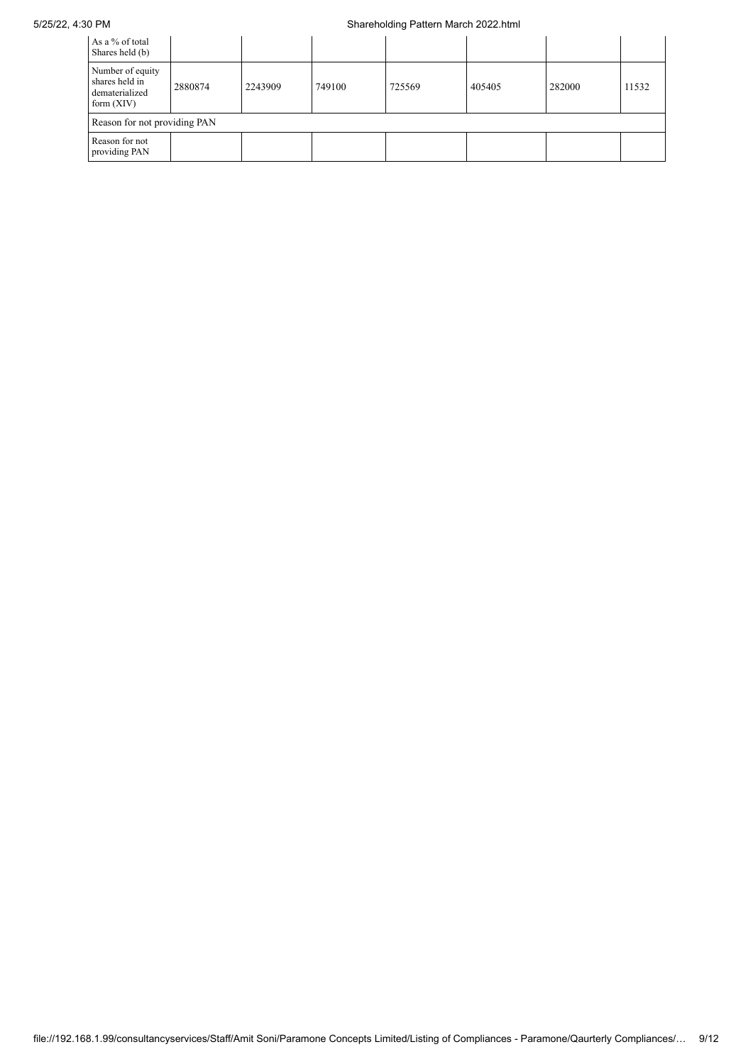## 5/25/22, 4:30 PM Shareholding Pattern March 2022.html

| As a % of total<br>Shares held (b)                                   |         |         |        |        |        |        |       |
|----------------------------------------------------------------------|---------|---------|--------|--------|--------|--------|-------|
| Number of equity<br>shares held in<br>dematerialized<br>form $(XIV)$ | 2880874 | 2243909 | 749100 | 725569 | 405405 | 282000 | 11532 |
| Reason for not providing PAN                                         |         |         |        |        |        |        |       |
| Reason for not<br>providing PAN                                      |         |         |        |        |        |        |       |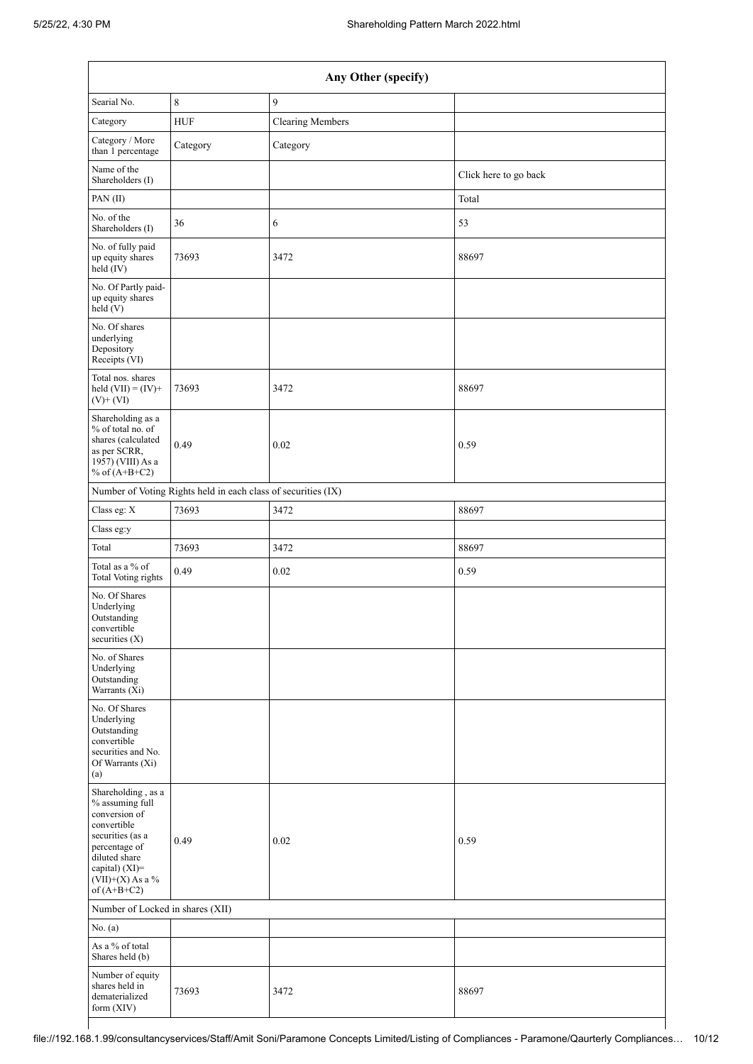| Searial No.<br>Category<br>Category / More                                                                                                                                           | $\,8\,$<br><b>HUF</b><br>Category | 9<br><b>Clearing Members</b> |                       |  |  |  |  |  |
|--------------------------------------------------------------------------------------------------------------------------------------------------------------------------------------|-----------------------------------|------------------------------|-----------------------|--|--|--|--|--|
|                                                                                                                                                                                      |                                   |                              |                       |  |  |  |  |  |
|                                                                                                                                                                                      |                                   |                              |                       |  |  |  |  |  |
|                                                                                                                                                                                      |                                   | Category                     |                       |  |  |  |  |  |
| than 1 percentage<br>Name of the                                                                                                                                                     |                                   |                              | Click here to go back |  |  |  |  |  |
| Shareholders (I)                                                                                                                                                                     |                                   |                              |                       |  |  |  |  |  |
| PAN(II)<br>No. of the                                                                                                                                                                |                                   |                              | Total                 |  |  |  |  |  |
| Shareholders (I)                                                                                                                                                                     | 36                                | 6                            | 53                    |  |  |  |  |  |
| No. of fully paid<br>up equity shares<br>$\text{held}(\text{IV})$                                                                                                                    | 73693                             | 3472                         | 88697                 |  |  |  |  |  |
| No. Of Partly paid-<br>up equity shares<br>held (V)                                                                                                                                  |                                   |                              |                       |  |  |  |  |  |
| No. Of shares<br>underlying<br>Depository<br>Receipts (VI)                                                                                                                           |                                   |                              |                       |  |  |  |  |  |
| Total nos. shares<br>held $(VII) = (IV) +$<br>$(V)$ + $(VI)$                                                                                                                         | 73693                             | 3472                         | 88697                 |  |  |  |  |  |
| Shareholding as a<br>% of total no. of<br>shares (calculated<br>as per SCRR,<br>1957) (VIII) As a<br>% of $(A+B+C2)$                                                                 | 0.49                              | 0.02                         | 0.59                  |  |  |  |  |  |
| Number of Voting Rights held in each class of securities (IX)                                                                                                                        |                                   |                              |                       |  |  |  |  |  |
| Class eg: X                                                                                                                                                                          | 73693                             | 3472                         | 88697                 |  |  |  |  |  |
| Class eg:y                                                                                                                                                                           |                                   |                              |                       |  |  |  |  |  |
| Total                                                                                                                                                                                | 73693                             | 3472                         | 88697                 |  |  |  |  |  |
| Total as a % of<br><b>Total Voting rights</b>                                                                                                                                        | 0.49                              | 0.02                         | 0.59                  |  |  |  |  |  |
| No. Of Shares<br>Underlying<br>Outstanding<br>convertible<br>securities $(X)$                                                                                                        |                                   |                              |                       |  |  |  |  |  |
| No. of Shares<br>Underlying<br>Outstanding<br>Warrants (Xi)                                                                                                                          |                                   |                              |                       |  |  |  |  |  |
| No. Of Shares<br>Underlying<br>Outstanding<br>convertible<br>securities and No.<br>Of Warrants (Xi)<br>(a)                                                                           |                                   |                              |                       |  |  |  |  |  |
| Shareholding, as a<br>% assuming full<br>conversion of<br>convertible<br>securities (as a<br>percentage of<br>diluted share<br>capital) (XI)=<br>$(VII)+(X)$ As a %<br>of $(A+B+C2)$ | 0.49                              | 0.02                         | 0.59                  |  |  |  |  |  |
| Number of Locked in shares (XII)                                                                                                                                                     |                                   |                              |                       |  |  |  |  |  |
| No. (a)                                                                                                                                                                              |                                   |                              |                       |  |  |  |  |  |
| As a % of total<br>Shares held (b)                                                                                                                                                   |                                   |                              |                       |  |  |  |  |  |
| Number of equity<br>shares held in<br>dematerialized<br>form (XIV)                                                                                                                   | 73693                             | 3472                         | 88697                 |  |  |  |  |  |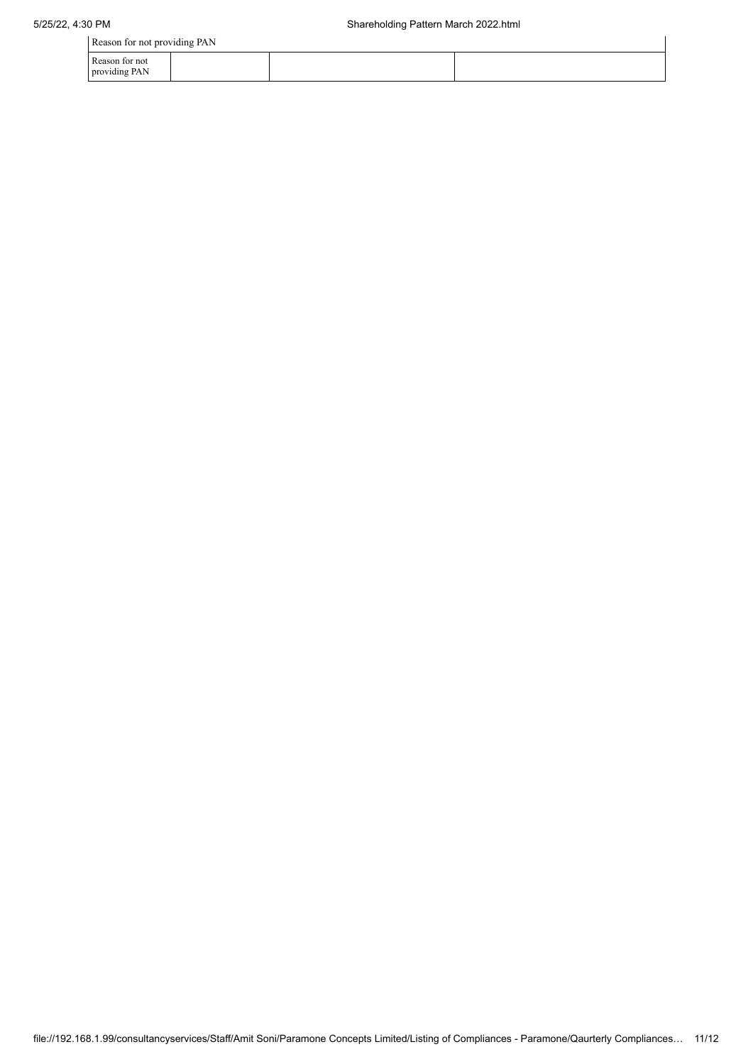Reason for not providing PAN

| Reason for not providing FAIN   |  |  |  |  |  |  |  |  |  |
|---------------------------------|--|--|--|--|--|--|--|--|--|
| Reason for not<br>providing PAN |  |  |  |  |  |  |  |  |  |